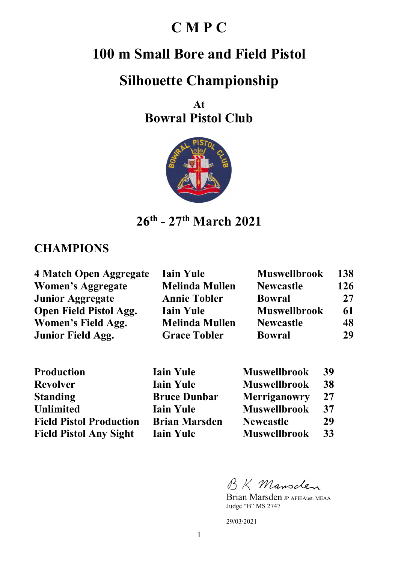## **C M P C**

## **100 m Small Bore and Field Pistol**

# **Silhouette Championship**

**At Bowral Pistol Club** 



**26th - 27th March 2021** 

#### **CHAMPIONS**

| 4 Match Open Aggregate        | <b>Iain Yule</b>      | <b>Muswellbrook</b> | 138 |
|-------------------------------|-----------------------|---------------------|-----|
| <b>Women's Aggregate</b>      | <b>Melinda Mullen</b> | <b>Newcastle</b>    | 126 |
| <b>Junior Aggregate</b>       | <b>Annie Tobler</b>   | <b>Bowral</b>       | 27  |
| <b>Open Field Pistol Agg.</b> | <b>Iain Yule</b>      | <b>Muswellbrook</b> | 61  |
| Women's Field Agg.            | <b>Melinda Mullen</b> | <b>Newcastle</b>    | 48  |
| <b>Junior Field Agg.</b>      | <b>Grace Tobler</b>   | <b>Bowral</b>       | 29  |

| Production                     |
|--------------------------------|
| <b>Revolver</b>                |
| <b>Standing</b>                |
| <b>Unlimited</b>               |
| <b>Field Pistol Production</b> |
| <b>Field Pistol Any Sight</b>  |

| <b>Production</b>              | <b>Iain Yule</b>     | <b>Muswellbrook</b> | 39 |
|--------------------------------|----------------------|---------------------|----|
| <b>Revolver</b>                | <b>Iain Yule</b>     | <b>Muswellbrook</b> | 38 |
| <b>Standing</b>                | <b>Bruce Dunbar</b>  | Merriganowry        | 27 |
| <b>Unlimited</b>               | <b>Iain Yule</b>     | <b>Muswellbrook</b> | 37 |
| <b>Field Pistol Production</b> | <b>Brian Marsden</b> | <b>Newcastle</b>    | 29 |
| <b>Field Pistol Any Sight</b>  | <b>Iain Yule</b>     | <b>Muswellbrook</b> | 33 |

BK Mansclen

Brian Marsden JP AFIEAust. MEAA Judge "B" MS 2747

29/03/2021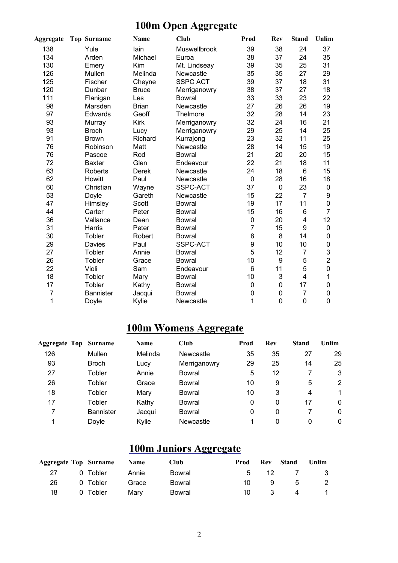## **100m Open Aggregate**

| <b>Aggregate</b> | <b>Top Surname</b> | <b>Name</b>  | Club                | Prod           | <b>Rev</b> | <b>Stand</b>   | Unlim          |
|------------------|--------------------|--------------|---------------------|----------------|------------|----------------|----------------|
| 138              | Yule               | lain         | <b>Muswellbrook</b> | 39             | 38         | 24             | 37             |
| 134              | Arden              | Michael      | Euroa               | 38             | 37         | 24             | 35             |
| 130              | Emery              | Kim          | Mt. Lindseay        | 39             | 35         | 25             | 31             |
| 126              | Mullen             | Melinda      | Newcastle           | 35             | 35         | 27             | 29             |
| 125              | Fischer            | Cheyne       | <b>SSPC ACT</b>     | 39             | 37         | 18             | 31             |
| 120              | Dunbar             | <b>Bruce</b> | Merriganowry        | 38             | 37         | 27             | 18             |
| 111              | Flanigan           | Les          | <b>Bowral</b>       | 33             | 33         | 23             | 22             |
| 98               | Marsden            | <b>Brian</b> | Newcastle           | 27             | 26         | 26             | 19             |
| 97               | Edwards            | Geoff        | Thelmore            | 32             | 28         | 14             | 23             |
| 93               | Murray             | Kirk         | Merriganowry        | 32             | 24         | 16             | 21             |
| 93               | <b>Broch</b>       | Lucy         | Merriganowry        | 29             | 25         | 14             | 25             |
| 91               | <b>Brown</b>       | Richard      | Kurrajong           | 23             | 32         | 11             | 25             |
| 76               | Robinson           | Matt         | Newcastle           | 28             | 14         | 15             | 19             |
| 76               | Pascoe             | Rod          | <b>Bowral</b>       | 21             | 20         | 20             | 15             |
| 72               | <b>Baxter</b>      | Glen         | Endeavour           | 22             | 21         | 18             | 11             |
| 63               | Roberts            | Derek        | Newcastle           | 24             | 18         | 6              | 15             |
| 62               | Howitt             | Paul         | Newcastle           | $\pmb{0}$      | 28         | 16             | 18             |
| 60               | Christian          | Wayne        | SSPC-ACT            | 37             | $\pmb{0}$  | 23             | 0              |
| 53               | Doyle              | Gareth       | Newcastle           | 15             | 22         | $\overline{7}$ | 9              |
| 47               | Himsley            | Scott        | <b>Bowral</b>       | 19             | 17         | 11             | 0              |
| 44               | Carter             | Peter        | <b>Bowral</b>       | 15             | 16         | 6              | $\overline{7}$ |
| 36               | Vallance           | Dean         | <b>Bowral</b>       | $\mathsf 0$    | 20         | $\overline{4}$ | 12             |
| 31               | Harris             | Peter        | <b>Bowral</b>       | $\overline{7}$ | 15         | 9              | $\pmb{0}$      |
| 30               | Tobler             | Robert       | <b>Bowral</b>       | 8              | 8          | 14             | 0              |
| 29               | Davies             | Paul         | SSPC-ACT            | 9              | 10         | 10             | 0              |
| 27               | Tobler             | Annie        | <b>Bowral</b>       | 5              | 12         | $\overline{7}$ | 3              |
| 26               | Tobler             | Grace        | <b>Bowral</b>       | 10             | 9          | 5              | $\overline{2}$ |
| 22               | Violi              | Sam          | Endeavour           | 6              | 11         | 5              | $\mathsf 0$    |
| 18               | Tobler             | Mary         | <b>Bowral</b>       | 10             | 3          | 4              | 1              |
| 17               | Tobler             | Kathy        | <b>Bowral</b>       | 0              | 0          | 17             | 0              |
| 7                | <b>Bannister</b>   | Jacqui       | <b>Bowral</b>       | $\mathbf 0$    | 0          | $\overline{7}$ | 0              |
| 1                | Doyle              | Kylie        | Newcastle           | 1              | 0          | $\mathbf 0$    | 0              |

## **100m Womens Aggregate**

| <b>Aggregate Top Surname</b> |                  | <b>Name</b> | <b>Club</b>   | Prod | Rev | <b>Stand</b> | Unlim |
|------------------------------|------------------|-------------|---------------|------|-----|--------------|-------|
| 126                          | Mullen           | Melinda     | Newcastle     | 35   | 35  | 27           | 29    |
| 93                           | <b>Broch</b>     | Lucy        | Merriganowry  | 29   | 25  | 14           | 25    |
| 27                           | Tobler           | Annie       | Bowral        | 5    | 12  |              | 3     |
| 26                           | Tobler           | Grace       | Bowral        | 10   | 9   | 5            | 2     |
| 18                           | Tobler           | Mary        | <b>Bowral</b> | 10   | 3   | 4            |       |
| 17                           | Tobler           | Kathy       | Bowral        | 0    | 0   | 17           | 0     |
| 7                            | <b>Bannister</b> | Jacqui      | Bowral        | 0    | 0   |              | 0     |
|                              | Doyle            | Kylie       | Newcastle     | 1    | 0   | 0            | 0     |

## **100m Juniors Aggregate**

|    | Aggregate Top Surname Name |       | <b>Club</b> | Prod        | <b>Rev</b> | Stand       | <b>Unlim</b> |
|----|----------------------------|-------|-------------|-------------|------------|-------------|--------------|
| 27 | 0 Tobler                   | Annie | Bowral      | $5^{\circ}$ |            | 12 7 3      |              |
| 26 | 0 Tobler                   | Grace | Bowral      | 10 I        | 9          | $5^{\circ}$ | -2           |
| 18 | 0 Tobler                   | Marv  | Bowral      | 10          | $\sim$ 3   |             | 4 1          |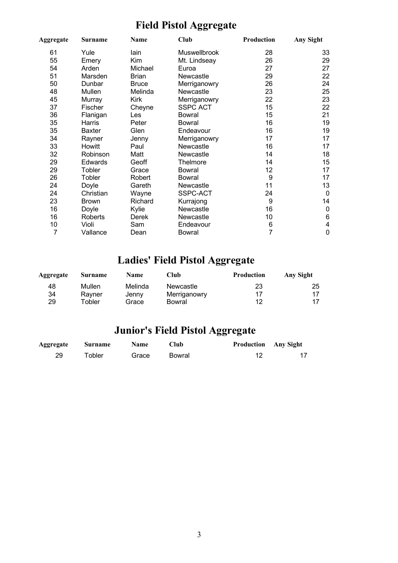## **Field Pistol Aggregate**

| Aggregate | Surname       | Club<br>Name |                 | Production | Any Sight               |
|-----------|---------------|--------------|-----------------|------------|-------------------------|
| 61        | Yule          | lain         | Muswellbrook    | 28         | 33                      |
| 55        | Emery         | Kim          | Mt. Lindseay    | 26         | 29                      |
| 54        | Arden         | Michael      | Euroa           | 27         | 27                      |
| 51        | Marsden       | <b>Brian</b> | Newcastle       | 29         | 22                      |
| 50        | Dunbar        | <b>Bruce</b> | Merriganowry    | 26         | 24                      |
| 48        | Mullen        | Melinda      | Newcastle       | 23         | 25                      |
| 45        | Murray        | Kirk         | Merriganowry    | 22         | 23                      |
| 37        | Fischer       | Cheyne       | <b>SSPC ACT</b> | 15         | 22                      |
| 36        | Flanigan      | Les          | <b>Bowral</b>   | 15         | 21                      |
| 35        | Harris        | Peter        | <b>Bowral</b>   | 16         | 19                      |
| 35        | <b>Baxter</b> | Glen         | Endeavour       | 16         | 19                      |
| 34        | Rayner        | Jenny        | Merriganowry    | 17         | 17                      |
| 33        | Howitt        | Paul         | Newcastle       | 16         | 17                      |
| 32        | Robinson      | Matt         | Newcastle       | 14         | 18                      |
| 29        | Edwards       | Geoff        | Thelmore        | 14         | 15                      |
| 29        | Tobler        | Grace        | <b>Bowral</b>   | 12         | 17                      |
| 26        | Tobler        | Robert       | <b>Bowral</b>   | 9          | 17                      |
| 24        | Doyle         | Gareth       | Newcastle       | 11         | 13                      |
| 24        | Christian     | Wayne        | SSPC-ACT        | 24         | $\mathbf 0$             |
| 23        | <b>Brown</b>  | Richard      | Kurrajong       | 9          | 14                      |
| 16        | Doyle         | Kylie        | Newcastle       | 16         | $\mathbf 0$             |
| 16        | Roberts       | Derek        | Newcastle       | 10         | $\,6$                   |
| 10        | Violi         | Sam          | Endeavour       | 6          | $\overline{\mathbf{4}}$ |
| 7         | Vallance      | Dean         | <b>Bowral</b>   | 7          | $\mathbf 0$             |

## **Ladies' Field Pistol Aggregate**

| Aggregate | Surname      | <b>Name</b> | Club         | <b>Production</b> | <b>Any Sight</b> |
|-----------|--------------|-------------|--------------|-------------------|------------------|
| 48        | Mullen       | Melinda     | Newcastle    | 23                | 25               |
| 34        | Ravner       | Jenny       | Merriganowry |                   |                  |
| 29        | $\tau$ obler | Grace       | Bowral       | 12                |                  |

## **Junior's Field Pistol Aggregate**

| <b>Aggregate</b> | <b>Surname</b> | <b>Name</b> | Club   | <b>Production</b> Any Sight |  |
|------------------|----------------|-------------|--------|-----------------------------|--|
| 29               | $\tau$ obler   | Grace       | Bowral |                             |  |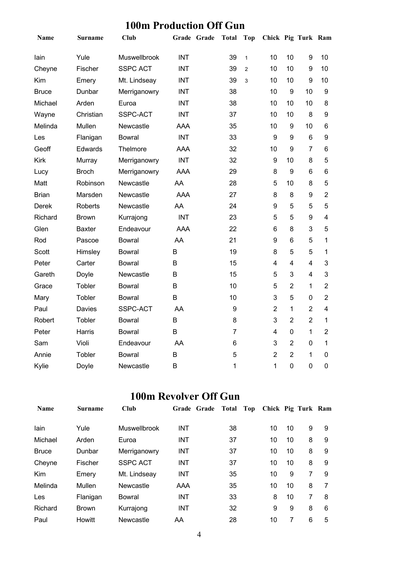| Name         | <b>Surname</b> | Club                | Grade Grade | <b>Total</b>   | <b>Top</b>   | Chick Pig Turk Ram |                  |                         |                |
|--------------|----------------|---------------------|-------------|----------------|--------------|--------------------|------------------|-------------------------|----------------|
| lain         | Yule           | <b>Muswellbrook</b> | <b>INT</b>  | 39             | $\mathbf{1}$ | 10                 | 10               | 9                       | 10             |
| Cheyne       | Fischer        | <b>SSPC ACT</b>     | <b>INT</b>  | 39             | 2            | 10                 | 10               | 9                       | 10             |
| Kim          | Emery          | Mt. Lindseay        | <b>INT</b>  | 39             | 3            | 10                 | 10               | 9                       | 10             |
| Bruce        | Dunbar         | Merriganowry        | <b>INT</b>  | 38             |              | 10                 | $\boldsymbol{9}$ | 10                      | 9              |
| Michael      | Arden          | Euroa               | <b>INT</b>  | 38             |              | 10                 | 10               | 10                      | 8              |
| Wayne        | Christian      | SSPC-ACT            | <b>INT</b>  | 37             |              | 10                 | 10               | 8                       | 9              |
| Melinda      | Mullen         | Newcastle           | <b>AAA</b>  | 35             |              | 10                 | $\boldsymbol{9}$ | 10                      | 6              |
| Les          | Flanigan       | Bowral              | <b>INT</b>  | 33             |              | 9                  | 9                | $6\phantom{1}$          | 9              |
| Geoff        | Edwards        | Thelmore            | <b>AAA</b>  | 32             |              | 10                 | 9                | $\overline{7}$          | 6              |
| <b>Kirk</b>  | Murray         | Merriganowry        | <b>INT</b>  | 32             |              | 9                  | 10               | 8                       | 5              |
| Lucy         | <b>Broch</b>   | Merriganowry        | <b>AAA</b>  | 29             |              | 8                  | 9                | 6                       | 6              |
| Matt         | Robinson       | Newcastle           | AA          | 28             |              | 5                  | 10               | 8                       | 5              |
| <b>Brian</b> | Marsden        | Newcastle           | <b>AAA</b>  | 27             |              | 8                  | 8                | 9                       | $\overline{2}$ |
| <b>Derek</b> | Roberts        | Newcastle           | AA          | 24             |              | 9                  | 5                | 5                       | 5              |
| Richard      | Brown          | Kurrajong           | <b>INT</b>  | 23             |              | 5                  | 5                | 9                       | 4              |
| Glen         | Baxter         | Endeavour           | <b>AAA</b>  | 22             |              | 6                  | 8                | 3                       | 5              |
| Rod          | Pascoe         | <b>Bowral</b>       | AA          | 21             |              | 9                  | 6                | 5                       | $\mathbf{1}$   |
| Scott        | Himsley        | <b>Bowral</b>       | B           | 19             |              | 8                  | 5                | 5                       | $\mathbf{1}$   |
| Peter        | Carter         | <b>Bowral</b>       | B           | 15             |              | 4                  | $\overline{4}$   | $\overline{\mathbf{4}}$ | 3              |
| Gareth       | Doyle          | Newcastle           | B           | 15             |              | 5                  | 3                | $\overline{4}$          | 3              |
| Grace        | Tobler         | <b>Bowral</b>       | B           | 10             |              | 5                  | $\overline{2}$   | $\mathbf{1}$            | $\overline{2}$ |
| Mary         | Tobler         | <b>Bowral</b>       | B           | 10             |              | 3                  | 5                | $\overline{0}$          | $\overline{2}$ |
| Paul         | Davies         | SSPC-ACT            | AA          | 9              |              | $\overline{2}$     | 1                | $\overline{2}$          | $\overline{4}$ |
| Robert       | Tobler         | <b>Bowral</b>       | B           | 8              |              | 3                  | $\overline{2}$   | $\overline{2}$          | $\mathbf{1}$   |
| Peter        | Harris         | Bowral              | B           | $\overline{7}$ |              | 4                  | $\mathbf 0$      | 1                       | $\overline{2}$ |
| Sam          | Violi          | Endeavour           | AA          | 6              |              | 3                  | $\overline{2}$   | 0                       | $\mathbf{1}$   |
| Annie        | Tobler         | Bowral              | B           | 5              |              | $\overline{2}$     | $\overline{2}$   | 1                       | 0              |
| Kylie        | Doyle          | Newcastle           | B           | 1              |              | $\mathbf{1}$       | $\mathbf 0$      | $\overline{0}$          | 0              |

#### **100m Revolver Off Gun**

| <b>Name</b>  | <b>Surname</b> | <b>Club</b>     | Grade Grade | Total | Top | Chick Pig Turk Ram |    |   |   |
|--------------|----------------|-----------------|-------------|-------|-----|--------------------|----|---|---|
| lain         | Yule           | Muswellbrook    | <b>INT</b>  | 38    |     | 10                 | 10 | 9 | 9 |
| Michael      | Arden          | Euroa           | <b>INT</b>  | 37    |     | 10                 | 10 | 8 | 9 |
| <b>Bruce</b> | Dunbar         | Merriganowry    | <b>INT</b>  | 37    |     | 10                 | 10 | 8 | 9 |
| Cheyne       | Fischer        | <b>SSPC ACT</b> | <b>INT</b>  | 37    |     | 10                 | 10 | 8 | 9 |
| Kim          | Emery          | Mt. Lindseay    | <b>INT</b>  | 35    |     | 10                 | 9  | 7 | 9 |
| Melinda      | Mullen         | Newcastle       | AAA         | 35    |     | 10                 | 10 | 8 | 7 |
| Les          | Flanigan       | Bowral          | <b>INT</b>  | 33    |     | 8                  | 10 | 7 | 8 |
| Richard      | <b>Brown</b>   | Kurrajong       | <b>INT</b>  | 32    |     | 9                  | 9  | 8 | 6 |
| Paul         | Howitt         | Newcastle       | AA          | 28    |     | 10                 | 7  | 6 | 5 |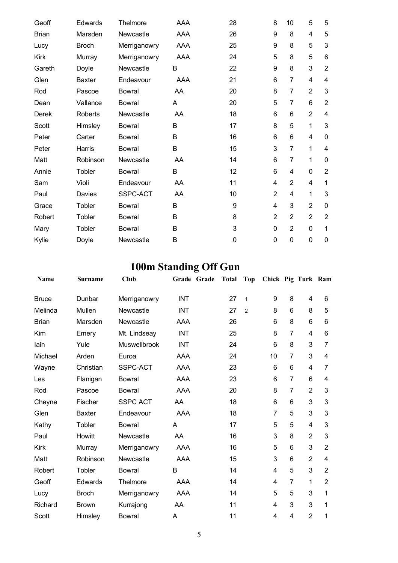| Geoff        | Edwards       | Thelmore      | AAA        | 28          | 8               | 10             | 5              | 5              |
|--------------|---------------|---------------|------------|-------------|-----------------|----------------|----------------|----------------|
| <b>Brian</b> | Marsden       | Newcastle     | AAA        | 26          | 9               | 8              | 4              | 5              |
| Lucy         | <b>Broch</b>  | Merriganowry  | AAA        | 25          | 9               | 8              | 5              | 3              |
| <b>Kirk</b>  | Murray        | Merriganowry  | <b>AAA</b> | 24          | 5               | 8              | 5              | 6              |
| Gareth       | Doyle         | Newcastle     | B          | 22          | 9               | 8              | 3              | $\overline{2}$ |
| Glen         | <b>Baxter</b> | Endeavour     | AAA        | 21          | 6               | 7              | 4              | 4              |
| Rod          | Pascoe        | <b>Bowral</b> | AA         | 20          | 8               | $\overline{7}$ | $\overline{2}$ | 3              |
| Dean         | Vallance      | <b>Bowral</b> | A          | 20          | 5               | 7              | 6              | $\overline{2}$ |
| Derek        | Roberts       | Newcastle     | AA         | 18          | 6               | 6              | $\overline{2}$ | 4              |
| Scott        | Himsley       | <b>Bowral</b> | B          | 17          | 8               | 5              | 1              | 3              |
| Peter        | Carter        | <b>Bowral</b> | B          | 16          | 6               | 6              | 4              | 0              |
| Peter        | Harris        | <b>Bowral</b> | B          | 15          | 3               | $\overline{7}$ | 1              | 4              |
| Matt         | Robinson      | Newcastle     | AA         | 14          | 6               | $\overline{7}$ | 1              | 0              |
| Annie        | Tobler        | <b>Bowral</b> | B          | 12          | $6\phantom{1}6$ | 4              | $\overline{0}$ | $\overline{2}$ |
| Sam          | Violi         | Endeavour     | AA         | 11          | 4               | $\overline{2}$ | 4              | 1              |
| Paul         | Davies        | SSPC-ACT      | AA         | 10          | $\overline{2}$  | 4              | 1              | 3              |
| Grace        | Tobler        | <b>Bowral</b> | B          | 9           | 4               | 3              | $\overline{2}$ | 0              |
| Robert       | Tobler        | Bowral        | B          | 8           | $\overline{2}$  | $\overline{2}$ | $\overline{2}$ | $\overline{2}$ |
| Mary         | Tobler        | <b>Bowral</b> | B          | 3           | $\mathbf 0$     | $\overline{2}$ | 0              | 1              |
| Kylie        | Doyle         | Newcastle     | B          | $\mathbf 0$ | $\mathbf 0$     | 0              | 0              | 0              |

# **100m Standing Off Gun**

| Name         | <b>Surname</b> | <b>Club</b>     | Grade Grade | <b>Total</b> | <b>Top</b>     | Chick Pig Turk Ram |                 |                         |                         |
|--------------|----------------|-----------------|-------------|--------------|----------------|--------------------|-----------------|-------------------------|-------------------------|
| <b>Bruce</b> | Dunbar         | Merriganowry    | <b>INT</b>  | 27           | $\mathbf{1}$   | 9                  | 8               | 4                       | 6                       |
| Melinda      | Mullen         | Newcastle       | <b>INT</b>  | 27           | $\overline{2}$ | 8                  | 6               | 8                       | 5                       |
| <b>Brian</b> | Marsden        | Newcastle       | AAA         | 26           |                | 6                  | 8               | 6                       | $6\phantom{1}$          |
| Kim          | Emery          | Mt. Lindseay    | <b>INT</b>  | 25           |                | 8                  | $\overline{7}$  | 4                       | 6                       |
| lain         | Yule           | Muswellbrook    | <b>INT</b>  | 24           |                | 6                  | 8               | 3                       | 7                       |
| Michael      | Arden          | Euroa           | <b>AAA</b>  | 24           |                | 10                 | $\overline{7}$  | 3                       | $\overline{\mathbf{4}}$ |
| Wayne        | Christian      | SSPC-ACT        | <b>AAA</b>  | 23           |                | 6                  | $6\phantom{1}6$ | $\overline{\mathbf{4}}$ | 7                       |
| Les          | Flanigan       | <b>Bowral</b>   | <b>AAA</b>  | 23           |                | $6\phantom{1}6$    | $\overline{7}$  | 6                       | 4                       |
| Rod          | Pascoe         | <b>Bowral</b>   | <b>AAA</b>  | 20           |                | 8                  | $\overline{7}$  | $\overline{2}$          | 3                       |
| Cheyne       | Fischer        | <b>SSPC ACT</b> | AA          | 18           |                | 6                  | $6\phantom{1}6$ | 3                       | 3                       |
| Glen         | <b>Baxter</b>  | Endeavour       | AAA         | 18           |                | $\overline{7}$     | 5               | 3                       | 3                       |
| Kathy        | Tobler         | <b>Bowral</b>   | A           | 17           |                | 5                  | 5               | 4                       | 3                       |
| Paul         | Howitt         | Newcastle       | AA          | 16           |                | 3                  | 8               | $\overline{2}$          | 3                       |
| <b>Kirk</b>  | Murray         | Merriganowry    | <b>AAA</b>  | 16           |                | 5                  | 6               | 3                       | $\overline{2}$          |
| Matt         | Robinson       | Newcastle       | AAA         | 15           |                | 3                  | 6               | $\overline{2}$          | 4                       |
| Robert       | Tobler         | <b>Bowral</b>   | B           | 14           |                | 4                  | 5               | 3                       | $\overline{2}$          |
| Geoff        | Edwards        | Thelmore        | AAA         | 14           |                | 4                  | $\overline{7}$  | 1                       | $\overline{2}$          |
| Lucy         | <b>Broch</b>   | Merriganowry    | AAA         | 14           |                | 5                  | 5               | 3                       | 1                       |
| Richard      | <b>Brown</b>   | Kurrajong       | AA          | 11           |                | 4                  | 3               | 3                       | 1                       |
| Scott        | Himsley        | <b>Bowral</b>   | Α           | 11           |                | 4                  | 4               | $\overline{2}$          | 1                       |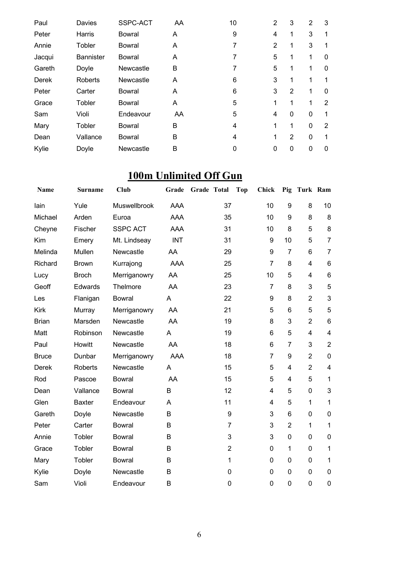| Paul   | <b>Davies</b>    | SSPC-ACT      | AA | 10 | $\overline{2}$ | 3              | $\overline{2}$ | 3 |
|--------|------------------|---------------|----|----|----------------|----------------|----------------|---|
| Peter  | Harris           | Bowral        | A  | 9  | 4              | 1              | 3              |   |
| Annie  | Tobler           | <b>Bowral</b> | Α  | 7  | $\overline{2}$ | 1              | 3              |   |
| Jacqui | <b>Bannister</b> | Bowral        | A  | 7  | 5              | 1              | 1              | 0 |
| Gareth | Doyle            | Newcastle     | B  | 7  | 5              | 1              |                | 0 |
| Derek  | Roberts          | Newcastle     | A  | 6  | 3              | 1              |                |   |
| Peter  | Carter           | Bowral        | A  | 6  | 3              | 2              | 1              | 0 |
| Grace  | Tobler           | <b>Bowral</b> | A  | 5  | 1              | 1              | 1              | 2 |
| Sam    | Violi            | Endeavour     | AA | 5  | 4              | $\Omega$       | $\mathbf 0$    | 1 |
| Mary   | Tobler           | <b>Bowral</b> | B  | 4  | 1              | 1              | $\mathbf 0$    | 2 |
| Dean   | Vallance         | <b>Bowral</b> | B  | 4  | 1              | $\overline{2}$ | $\mathbf 0$    | 1 |
| Kylie  | Doyle            | Newcastle     | В  | 0  | 0              | 0              | $\mathbf{0}$   | 0 |

## **100m Unlimited Off Gun**

| Name         | <b>Surname</b> | <b>Club</b>     | Grade      | Grade Total    | <b>Top</b><br><b>Chick</b> | Pig                     | Turk Ram                |                         |
|--------------|----------------|-----------------|------------|----------------|----------------------------|-------------------------|-------------------------|-------------------------|
| lain         | Yule           | Muswellbrook    | <b>AAA</b> | 37             | 10                         | 9                       | 8                       | 10                      |
| Michael      | Arden          | Euroa           | <b>AAA</b> | 35             | 10                         | 9                       | 8                       | 8                       |
| Cheyne       | Fischer        | <b>SSPC ACT</b> | <b>AAA</b> | 31             | 10                         | 8                       | 5                       | 8                       |
| Kim          | Emery          | Mt. Lindseay    | <b>INT</b> | 31             | 9                          | 10                      | 5                       | $\overline{7}$          |
| Melinda      | Mullen         | Newcastle       | AA         | 29             | 9                          | $\overline{7}$          | 6                       | $\overline{7}$          |
| Richard      | <b>Brown</b>   | Kurrajong       | AAA        | 25             | $\overline{7}$             | 8                       | 4                       | 6                       |
| Lucy         | <b>Broch</b>   | Merriganowry    | AA         | 25             | 10                         | 5                       | $\overline{\mathbf{4}}$ | 6                       |
| Geoff        | <b>Edwards</b> | Thelmore        | AA         | 23             | $\overline{7}$             | 8                       | 3                       | 5                       |
| Les          | Flanigan       | <b>Bowral</b>   | A          | 22             | 9                          | 8                       | $\overline{2}$          | 3                       |
| <b>Kirk</b>  | Murray         | Merriganowry    | AA         | 21             | 5                          | 6                       | 5                       | 5                       |
| <b>Brian</b> | Marsden        | Newcastle       | AA         | 19             | 8                          | 3                       | $\overline{2}$          | 6                       |
| Matt         | Robinson       | Newcastle       | A          | 19             | 6                          | 5                       | $\overline{\mathbf{4}}$ | 4                       |
| Paul         | Howitt         | Newcastle       | AA         | 18             | 6                          | 7                       | 3                       | $\overline{2}$          |
| <b>Bruce</b> | Dunbar         | Merriganowry    | <b>AAA</b> | 18             | $\overline{7}$             | 9                       | $\overline{2}$          | $\pmb{0}$               |
| <b>Derek</b> | <b>Roberts</b> | Newcastle       | A          | 15             | 5                          | 4                       | $\overline{2}$          | $\overline{\mathbf{4}}$ |
| Rod          | Pascoe         | <b>Bowral</b>   | AA         | 15             | 5                          | $\overline{\mathbf{4}}$ | 5                       | $\mathbf{1}$            |
| Dean         | Vallance       | Bowral          | B          | 12             | 4                          | 5                       | $\mathbf 0$             | 3                       |
| Glen         | <b>Baxter</b>  | Endeavour       | A          | 11             | 4                          | 5                       | 1                       | $\mathbf{1}$            |
| Gareth       | Doyle          | Newcastle       | B          | 9              | 3                          | 6                       | 0                       | $\pmb{0}$               |
| Peter        | Carter         | <b>Bowral</b>   | B          | $\overline{7}$ | 3                          | $\overline{2}$          | $\mathbf{1}$            | 1                       |
| Annie        | Tobler         | <b>Bowral</b>   | B          | 3              | 3                          | 0                       | 0                       | $\mathbf 0$             |
| Grace        | Tobler         | Bowral          | B          | $\overline{2}$ | 0                          | $\mathbf{1}$            | 0                       | $\mathbf 1$             |
| Mary         | Tobler         | <b>Bowral</b>   | B          | 1              | 0                          | 0                       | 0                       | $\mathbf{1}$            |
| Kylie        | Doyle          | Newcastle       | B          | 0              | 0                          | 0                       | 0                       | $\pmb{0}$               |
| Sam          | Violi          | Endeavour       | B          | 0              | 0                          | 0                       | 0                       | $\pmb{0}$               |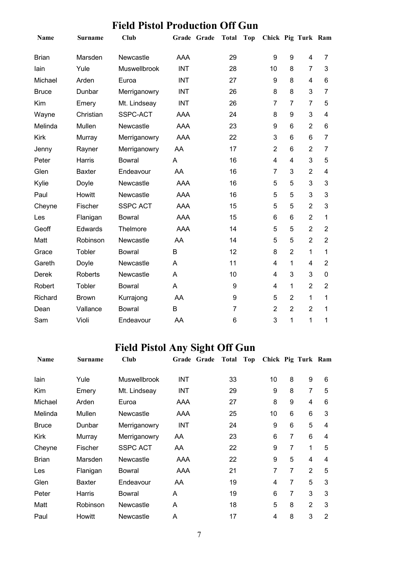| TRA TRADITIONALIDA ON<br>uu |                |                 |            |             |                  |            |                    |                |                |                          |
|-----------------------------|----------------|-----------------|------------|-------------|------------------|------------|--------------------|----------------|----------------|--------------------------|
| Name                        | <b>Surname</b> | <b>Club</b>     |            | Grade Grade | <b>Total</b>     | <b>Top</b> | Chick Pig Turk Ram |                |                |                          |
| <b>Brian</b>                | Marsden        | Newcastle       | <b>AAA</b> |             | 29               |            | 9                  | 9              | 4              | $\overline{7}$           |
| lain                        | Yule           | Muswellbrook    | <b>INT</b> |             | 28               |            | 10                 | 8              | 7              | 3                        |
| Michael                     | Arden          | Euroa           | <b>INT</b> |             | 27               |            | 9                  | 8              | 4              | 6                        |
| <b>Bruce</b>                | Dunbar         | Merriganowry    | <b>INT</b> |             | 26               |            | 8                  | 8              | 3              | $\overline{7}$           |
| Kim                         | Emery          | Mt. Lindseay    | <b>INT</b> |             | 26               |            | $\overline{7}$     | $\overline{7}$ | $\overline{7}$ | 5                        |
| Wayne                       | Christian      | SSPC-ACT        | <b>AAA</b> |             | 24               |            | 8                  | 9              | 3              | $\overline{4}$           |
| Melinda                     | Mullen         | Newcastle       | AAA        |             | 23               |            | 9                  | 6              | $\overline{2}$ | 6                        |
| <b>Kirk</b>                 | Murray         | Merriganowry    | <b>AAA</b> |             | 22               |            | 3                  | 6              | 6              | 7                        |
| Jenny                       | Rayner         | Merriganowry    | AA         |             | 17               |            | $\overline{2}$     | 6              | $\overline{2}$ | $\overline{7}$           |
| Peter                       | Harris         | <b>Bowral</b>   | A          |             | 16               |            | 4                  | 4              | 3              | 5                        |
| Glen                        | <b>Baxter</b>  | Endeavour       | AA         |             | 16               |            | $\overline{7}$     | 3              | $\overline{2}$ | $\overline{\mathcal{A}}$ |
| Kylie                       | Doyle          | Newcastle       | <b>AAA</b> |             | 16               |            | 5                  | 5              | 3              | 3                        |
| Paul                        | Howitt         | Newcastle       | <b>AAA</b> |             | 16               |            | 5                  | 5              | 3              | 3                        |
| Cheyne                      | Fischer        | <b>SSPC ACT</b> | AAA        |             | 15               |            | 5                  | 5              | $\overline{2}$ | 3                        |
| Les                         | Flanigan       | <b>Bowral</b>   | <b>AAA</b> |             | 15               |            | 6                  | 6              | $\overline{2}$ | 1                        |
| Geoff                       | Edwards        | Thelmore        | AAA        |             | 14               |            | 5                  | 5              | $\overline{2}$ | $\overline{2}$           |
| Matt                        | Robinson       | Newcastle       | AA         |             | 14               |            | 5                  | 5              | $\overline{2}$ | $\overline{2}$           |
| Grace                       | Tobler         | <b>Bowral</b>   | B          |             | 12               |            | 8                  | $\overline{2}$ | $\mathbf{1}$   | 1                        |
| Gareth                      | Doyle          | Newcastle       | A          |             | 11               |            | 4                  | 1              | $\overline{4}$ | $\overline{2}$           |
| <b>Derek</b>                | <b>Roberts</b> | Newcastle       | A          |             | 10               |            | 4                  | 3              | 3              | $\mathbf 0$              |
| Robert                      | Tobler         | <b>Bowral</b>   | A          |             | $\boldsymbol{9}$ |            | 4                  | 1              | $\overline{2}$ | $\overline{2}$           |
| Richard                     | <b>Brown</b>   | Kurrajong       | AA         |             | $\boldsymbol{9}$ |            | 5                  | $\overline{2}$ | 1              | 1                        |
| Dean                        | Vallance       | <b>Bowral</b>   | B          |             | $\overline{7}$   |            | $\overline{2}$     | $\overline{2}$ | $\overline{2}$ | 1                        |
| Sam                         | Violi          | Endeavour       | AA         |             | $6\phantom{1}$   |            | 3                  | 1              | 1              | 1                        |

#### **Field Pistol Production Off Gun**

## **Field Pistol Any Sight Off Gun**

| Name         | <b>Surname</b> | Club                | Grade Grade | <b>Total</b> | Top | Chick Pig Turk Ram |   |                |                |
|--------------|----------------|---------------------|-------------|--------------|-----|--------------------|---|----------------|----------------|
| lain         | Yule           | <b>Muswellbrook</b> | <b>INT</b>  | 33           |     | 10                 | 8 | 9              | 6              |
| Kim          | Emery          | Mt. Lindseay        | INT         | 29           |     | 9                  | 8 | 7              | 5              |
| Michael      | Arden          | Euroa               | AAA         | 27           |     | 8                  | 9 | 4              | 6              |
| Melinda      | Mullen         | Newcastle           | AAA         | 25           |     | 10                 | 6 | 6              | 3              |
| <b>Bruce</b> | Dunbar         | Merriganowry        | <b>INT</b>  | 24           |     | 9                  | 6 | 5              | 4              |
| <b>Kirk</b>  | Murray         | Merriganowry        | AA          | 23           |     | 6                  | 7 | 6              | 4              |
| Cheyne       | Fischer        | <b>SSPC ACT</b>     | AA          | 22           |     | 9                  | 7 | 1              | 5              |
| <b>Brian</b> | Marsden        | Newcastle           | AAA         | 22           |     | 9                  | 5 | $\overline{4}$ | 4              |
| Les          | Flanigan       | <b>Bowral</b>       | AAA         | 21           |     | 7                  | 7 | $\overline{2}$ | 5              |
| Glen         | <b>Baxter</b>  | Endeavour           | AA          | 19           |     | 4                  | 7 | 5              | 3              |
| Peter        | Harris         | Bowral              | A           | 19           |     | 6                  | 7 | 3              | 3              |
| Matt         | Robinson       | Newcastle           | A           | 18           |     | 5                  | 8 | $\overline{2}$ | 3              |
| Paul         | Howitt         | Newcastle           | A           | 17           |     | 4                  | 8 | 3              | $\overline{2}$ |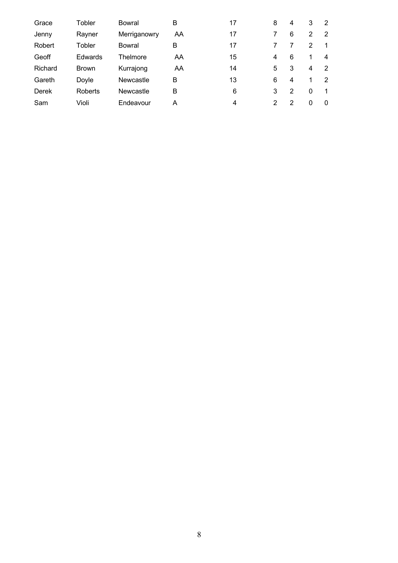| Grace   | Tobler         | Bowral       | B  | 17 | 8 | 4              | 3 | 2 |
|---------|----------------|--------------|----|----|---|----------------|---|---|
| Jenny   | Rayner         | Merriganowry | AA | 17 |   | 6              | 2 | 2 |
| Robert  | Tobler         | Bowral       | в  | 17 |   |                | 2 |   |
| Geoff   | Edwards        | Thelmore     | AA | 15 | 4 | 6              | 1 | 4 |
| Richard | <b>Brown</b>   | Kurrajong    | AA | 14 | 5 | 3              | 4 | 2 |
| Gareth  | Doyle          | Newcastle    | B  | 13 | 6 | $\overline{4}$ |   | 2 |
| Derek   | <b>Roberts</b> | Newcastle    | B  | 6  | 3 | 2              | 0 |   |
| Sam     | Violi          | Endeavour    | А  | 4  | 2 | 2              | 0 | 0 |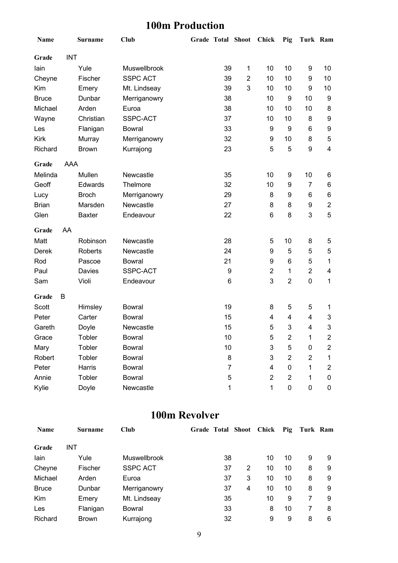#### **100m Production**

| Name         |            | <b>Surname</b> | Club            | Grade Total Shoot |                | <b>Chick</b>     | Pig                     | Turk Ram                |                |
|--------------|------------|----------------|-----------------|-------------------|----------------|------------------|-------------------------|-------------------------|----------------|
| Grade        | <b>INT</b> |                |                 |                   |                |                  |                         |                         |                |
| lain         |            | Yule           | Muswellbrook    | 39                | 1              | 10               | 10                      | 9                       | 10             |
| Cheyne       |            | Fischer        | <b>SSPC ACT</b> | 39                | $\overline{2}$ | 10               | 10                      | 9                       | 10             |
| Kim          |            | Emery          | Mt. Lindseay    | 39                | 3              | 10               | 10                      | 9                       | 10             |
| <b>Bruce</b> |            | Dunbar         | Merriganowry    | 38                |                | 10               | 9                       | 10                      | 9              |
| Michael      |            | Arden          | Euroa           | 38                |                | 10               | 10                      | 10                      | 8              |
| Wayne        |            | Christian      | SSPC-ACT        | 37                |                | 10               | 10                      | 8                       | 9              |
| Les          |            | Flanigan       | <b>Bowral</b>   | 33                |                | $\boldsymbol{9}$ | 9                       | 6                       | 9              |
| Kirk         |            | Murray         | Merriganowry    | 32                |                | 9                | 10                      | 8                       | 5              |
| Richard      |            | <b>Brown</b>   | Kurrajong       | 23                |                | 5                | 5                       | 9                       | 4              |
| Grade        | <b>AAA</b> |                |                 |                   |                |                  |                         |                         |                |
| Melinda      |            | Mullen         | Newcastle       | 35                |                | 10               | 9                       | 10                      | 6              |
| Geoff        |            | Edwards        | Thelmore        | 32                |                | 10               | 9                       | $\overline{7}$          | 6              |
| Lucy         |            | <b>Broch</b>   | Merriganowry    | 29                |                | 8                | 9                       | 6                       | 6              |
| <b>Brian</b> |            | Marsden        | Newcastle       | 27                |                | 8                | 8                       | 9                       | $\mathbf{2}$   |
| Glen         |            | <b>Baxter</b>  | Endeavour       | 22                |                | 6                | 8                       | 3                       | 5              |
| Grade        | AA         |                |                 |                   |                |                  |                         |                         |                |
| Matt         |            | Robinson       | Newcastle       | 28                |                | 5                | 10                      | 8                       | 5              |
| Derek        |            | <b>Roberts</b> | Newcastle       | 24                |                | 9                | 5                       | 5                       | 5              |
| Rod          |            | Pascoe         | <b>Bowral</b>   | 21                |                | 9                | 6                       | 5                       | 1              |
| Paul         |            | Davies         | SSPC-ACT        | 9                 |                | $\overline{2}$   | 1                       | $\overline{2}$          | 4              |
| Sam          |            | Violi          | Endeavour       | 6                 |                | 3                | $\overline{2}$          | $\pmb{0}$               | 1              |
| Grade        | В          |                |                 |                   |                |                  |                         |                         |                |
| Scott        |            | Himsley        | <b>Bowral</b>   | 19                |                | 8                | 5                       | 5                       | 1              |
| Peter        |            | Carter         | <b>Bowral</b>   | 15                |                | 4                | 4                       | 4                       | 3              |
| Gareth       |            | Doyle          | Newcastle       | 15                |                | 5                | 3                       | $\overline{\mathbf{4}}$ | 3              |
| Grace        |            | Tobler         | <b>Bowral</b>   | 10                |                | 5                | $\overline{\mathbf{c}}$ | 1                       | $\overline{c}$ |
| Mary         |            | Tobler         | <b>Bowral</b>   | 10                |                | 3                | 5                       | 0                       | 2              |
| Robert       |            | Tobler         | <b>Bowral</b>   | 8                 |                | 3                | $\overline{2}$          | $\overline{2}$          | 1              |
| Peter        |            | Harris         | <b>Bowral</b>   | $\overline{7}$    |                | 4                | 0                       | 1                       | 2              |
| Annie        |            | Tobler         | <b>Bowral</b>   | 5                 |                | $\overline{2}$   | 2                       | 1                       | 0              |
| Kylie        |            | Doyle          | Newcastle       | 1                 |                | 1                | 0                       | $\pmb{0}$               | 0              |

#### **100m Revolver**

| <b>Name</b>  | Surname      | <b>Club</b>     |    | <b>Grade Total Shoot</b> | Chick | Pig | Turk Ram |   |
|--------------|--------------|-----------------|----|--------------------------|-------|-----|----------|---|
| Grade        | INT          |                 |    |                          |       |     |          |   |
| lain         | Yule         | Muswellbrook    | 38 |                          | 10    | 10  | 9        | 9 |
| Cheyne       | Fischer      | <b>SSPC ACT</b> | 37 | 2                        | 10    | 10  | 8        | 9 |
| Michael      | Arden        | Euroa           | 37 | 3                        | 10    | 10  | 8        | 9 |
| <b>Bruce</b> | Dunbar       | Merriganowry    | 37 | 4                        | 10    | 10  | 8        | 9 |
| Kim          | Emery        | Mt. Lindseay    | 35 |                          | 10    | 9   |          | 9 |
| Les          | Flanigan     | Bowral          | 33 |                          | 8     | 10  |          | 8 |
| Richard      | <b>Brown</b> | Kurrajong       | 32 |                          | 9     | 9   | 8        | 6 |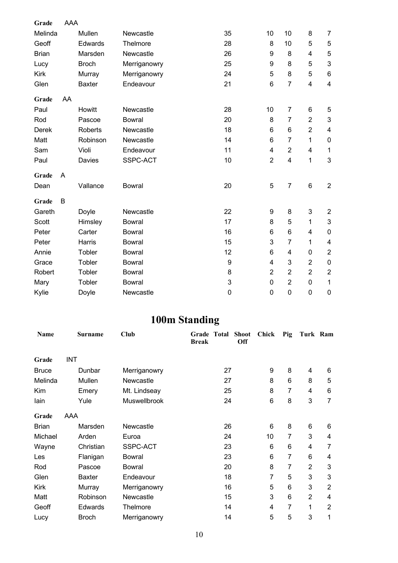| Grade        | AAA |                |               |                  |                 |                         |                           |                           |
|--------------|-----|----------------|---------------|------------------|-----------------|-------------------------|---------------------------|---------------------------|
| Melinda      |     | Mullen         | Newcastle     | 35               | 10              | 10                      | 8                         | 7                         |
| Geoff        |     | Edwards        | Thelmore      | 28               | 8               | 10                      | 5                         | 5                         |
| <b>Brian</b> |     | Marsden        | Newcastle     | 26               | 9               | 8                       | $\overline{\mathbf{4}}$   | $\sqrt{5}$                |
| Lucy         |     | <b>Broch</b>   | Merriganowry  | 25               | 9               | 8                       | 5                         | $\mathbf 3$               |
| <b>Kirk</b>  |     | Murray         | Merriganowry  | 24               | 5               | 8                       | 5                         | $\,6\,$                   |
| Glen         |     | <b>Baxter</b>  | Endeavour     | 21               | $6\phantom{1}6$ | $\overline{7}$          | $\overline{\mathbf{4}}$   | $\overline{\mathbf{4}}$   |
| Grade        | AA  |                |               |                  |                 |                         |                           |                           |
| Paul         |     | Howitt         | Newcastle     | 28               | 10              | $\overline{7}$          | 6                         | 5                         |
| Rod          |     | Pascoe         | <b>Bowral</b> | 20               | 8               | $\overline{7}$          | $\overline{2}$            | 3                         |
| <b>Derek</b> |     | <b>Roberts</b> | Newcastle     | 18               | 6               | 6                       | $\overline{2}$            | $\overline{\mathbf{4}}$   |
| Matt         |     | Robinson       | Newcastle     | 14               | 6               | $\overline{7}$          | 1                         | $\mathbf 0$               |
| Sam          |     | Violi          | Endeavour     | 11               | $\overline{4}$  | $\overline{2}$          | $\overline{\mathcal{A}}$  | $\mathbf 1$               |
| Paul         |     | Davies         | SSPC-ACT      | 10               | $\overline{2}$  | $\overline{\mathbf{4}}$ | 1                         | 3                         |
| Grade        | Α   |                |               |                  |                 |                         |                           |                           |
| Dean         |     | Vallance       | <b>Bowral</b> | 20               | 5               | 7                       | $6\phantom{1}$            | $\boldsymbol{2}$          |
| Grade        | B   |                |               |                  |                 |                         |                           |                           |
| Gareth       |     | Doyle          | Newcastle     | 22               | 9               | 8                       | $\ensuremath{\mathsf{3}}$ | $\overline{2}$            |
| Scott        |     | Himsley        | <b>Bowral</b> | 17               | 8               | 5                       | 1                         | $\ensuremath{\mathsf{3}}$ |
| Peter        |     | Carter         | <b>Bowral</b> | 16               | 6               | 6                       | 4                         | $\mathbf 0$               |
| Peter        |     | Harris         | <b>Bowral</b> | 15               | 3               | $\overline{7}$          | 1                         | 4                         |
| Annie        |     | Tobler         | <b>Bowral</b> | 12               | 6               | 4                       | $\boldsymbol{0}$          | $\overline{2}$            |
| Grace        |     | Tobler         | <b>Bowral</b> | $\boldsymbol{9}$ | 4               | 3                       | $\overline{2}$            | $\pmb{0}$                 |
| Robert       |     | Tobler         | <b>Bowral</b> | 8                | $\overline{2}$  | $\overline{2}$          | $\overline{2}$            | $\boldsymbol{2}$          |
| Mary         |     | Tobler         | <b>Bowral</b> | 3                | $\mathbf 0$     | $\overline{2}$          | $\mathbf 0$               | $\mathbf 1$               |
| Kylie        |     | Doyle          | Newcastle     | $\pmb{0}$        | $\overline{0}$  | $\mathbf 0$             | $\mathbf 0$               | $\mathbf 0$               |

## **100m Standing**

| Name         | <b>Surname</b> | Club          | Grade Total<br><b>Break</b> | <b>Shoot</b><br>Off | Chick | Pig            | Turk Ram       |                |
|--------------|----------------|---------------|-----------------------------|---------------------|-------|----------------|----------------|----------------|
| Grade        | <b>INT</b>     |               |                             |                     |       |                |                |                |
| <b>Bruce</b> | Dunbar         | Merriganowry  |                             | 27                  | 9     | 8              | 4              | 6              |
| Melinda      | Mullen         | Newcastle     |                             | 27                  | 8     | 6              | 8              | 5              |
| Kim          | Emery          | Mt. Lindseay  |                             | 25                  | 8     | 7              | 4              | 6              |
| lain         | Yule           | Muswellbrook  |                             | 24                  | 6     | 8              | 3              | 7              |
| Grade        | AAA            |               |                             |                     |       |                |                |                |
| <b>Brian</b> | Marsden        | Newcastle     |                             | 26                  | 6     | 8              | 6              | 6              |
| Michael      | Arden          | Euroa         |                             | 24                  | 10    | 7              | 3              | 4              |
| Wayne        | Christian      | SSPC-ACT      |                             | 23                  | 6     | 6              | 4              | 7              |
| Les          | Flanigan       | <b>Bowral</b> |                             | 23                  | 6     | 7              | 6              | 4              |
| Rod          | Pascoe         | <b>Bowral</b> |                             | 20                  | 8     | 7              | $\overline{2}$ | 3              |
| Glen         | <b>Baxter</b>  | Endeavour     |                             | 18                  | 7     | 5              | 3              | 3              |
| Kirk         | Murray         | Merriganowry  |                             | 16                  | 5     | 6              | 3              | $\overline{2}$ |
| Matt         | Robinson       | Newcastle     |                             | 15                  | 3     | 6              | $\overline{2}$ | 4              |
| Geoff        | <b>Edwards</b> | Thelmore      |                             | 14                  | 4     | $\overline{7}$ | 1              | $\overline{2}$ |
| Lucy         | Broch          | Merriganowry  |                             | 14                  | 5     | 5              | $\mathbf{3}$   | 1              |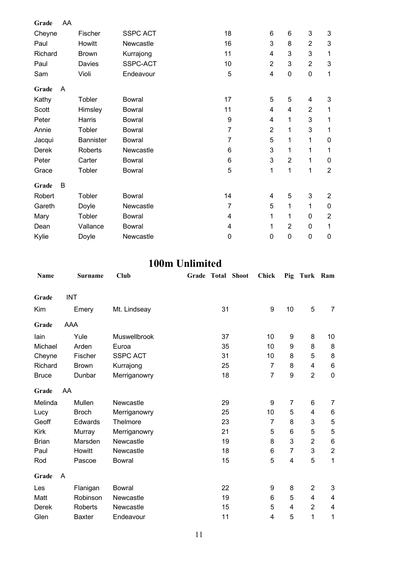| Grade   | AA |              |                 |    |                |                |                |                |
|---------|----|--------------|-----------------|----|----------------|----------------|----------------|----------------|
| Cheyne  |    | Fischer      | <b>SSPC ACT</b> | 18 | 6              | 6              | 3              | 3              |
| Paul    |    | Howitt       | Newcastle       | 16 | 3              | 8              | $\overline{2}$ | 3              |
| Richard |    | <b>Brown</b> | Kurrajong       | 11 | 4              | 3              | 3              | 1              |
| Paul    |    | Davies       | SSPC-ACT        | 10 | $\overline{2}$ | 3              | 2              | 3              |
| Sam     |    | Violi        | Endeavour       | 5  | 4              | $\pmb{0}$      | 0              | 1              |
| Grade   | A  |              |                 |    |                |                |                |                |
| Kathy   |    | Tobler       | <b>Bowral</b>   | 17 | 5              | 5              | 4              | 3              |
| Scott   |    | Himsley      | <b>Bowral</b>   | 11 | 4              | 4              | $\overline{2}$ | 1              |
| Peter   |    | Harris       | <b>Bowral</b>   | 9  | 4              | 1              | 3              | 1              |
| Annie   |    | Tobler       | <b>Bowral</b>   | 7  | $\overline{2}$ | 1              | 3              | 1              |
| Jacqui  |    | Bannister    | <b>Bowral</b>   | 7  | 5              | 1              | 1              | 0              |
| Derek   |    | Roberts      | Newcastle       | 6  | 3              | 1              | 1              | 1              |
| Peter   |    | Carter       | <b>Bowral</b>   | 6  | 3              | $\overline{2}$ | 1              | 0              |
| Grace   |    | Tobler       | <b>Bowral</b>   | 5  | 1              | 1              | 1              | $\overline{2}$ |
| Grade   | B  |              |                 |    |                |                |                |                |
| Robert  |    | Tobler       | <b>Bowral</b>   | 14 | 4              | 5              | 3              | $\overline{2}$ |
| Gareth  |    | Doyle        | Newcastle       | 7  | 5              | 1              | 1              | 0              |
| Mary    |    | Tobler       | <b>Bowral</b>   | 4  | 1              | 1              | 0              | $\overline{2}$ |
| Dean    |    | Vallance     | <b>Bowral</b>   | 4  | 1              | $\overline{2}$ | 0              | 1              |
| Kylie   |    | Doyle        | Newcastle       | 0  | 0              | 0              | 0              | $\pmb{0}$      |

#### **100m Unlimited**

| Name         | <b>Surname</b> | <b>Club</b>     | Grade Total Shoot |    | <b>Chick</b>   | Pig            | Turk Ram       |                |
|--------------|----------------|-----------------|-------------------|----|----------------|----------------|----------------|----------------|
| Grade        | <b>INT</b>     |                 |                   |    |                |                |                |                |
| Kim          | Emery          | Mt. Lindseay    |                   | 31 | 9              | 10             | 5              | $\overline{7}$ |
| Grade        | AAA            |                 |                   |    |                |                |                |                |
| lain         | Yule           | Muswellbrook    |                   | 37 | 10             | 9              | 8              | 10             |
| Michael      | Arden          | Euroa           |                   | 35 | 10             | 9              | 8              | 8              |
| Cheyne       | Fischer        | <b>SSPC ACT</b> |                   | 31 | 10             | 8              | 5              | 8              |
| Richard      | <b>Brown</b>   | Kurrajong       |                   | 25 | $\overline{7}$ | 8              | 4              | 6              |
| <b>Bruce</b> | Dunbar         | Merriganowry    |                   | 18 | $\overline{7}$ | 9              | $\overline{2}$ | $\pmb{0}$      |
| Grade        | AA             |                 |                   |    |                |                |                |                |
| Melinda      | Mullen         | Newcastle       |                   | 29 | 9              | $\overline{7}$ | 6              | 7              |
| Lucy         | <b>Broch</b>   | Merriganowry    |                   | 25 | 10             | 5              | 4              | 6              |
| Geoff        | Edwards        | Thelmore        |                   | 23 | $\overline{7}$ | 8              | 3              | $\mathbf 5$    |
| <b>Kirk</b>  | Murray         | Merriganowry    |                   | 21 | 5              | 6              | 5              | $\mathbf 5$    |
| <b>Brian</b> | Marsden        | Newcastle       |                   | 19 | 8              | 3              | $\overline{2}$ | 6              |
| Paul         | Howitt         | Newcastle       |                   | 18 | 6              | 7              | 3              | $\overline{2}$ |
| Rod          | Pascoe         | <b>Bowral</b>   |                   | 15 | 5              | 4              | 5              | 1              |
| Grade        | A              |                 |                   |    |                |                |                |                |
| Les          | Flanigan       | <b>Bowral</b>   |                   | 22 | 9              | 8              | $\overline{2}$ | 3              |
| Matt         | Robinson       | Newcastle       |                   | 19 | 6              | 5              | 4              | 4              |
| Derek        | Roberts        | Newcastle       |                   | 15 | 5              | 4              | $\overline{2}$ | 4              |
| Glen         | <b>Baxter</b>  | Endeavour       |                   | 11 | 4              | 5              | 1              | 1              |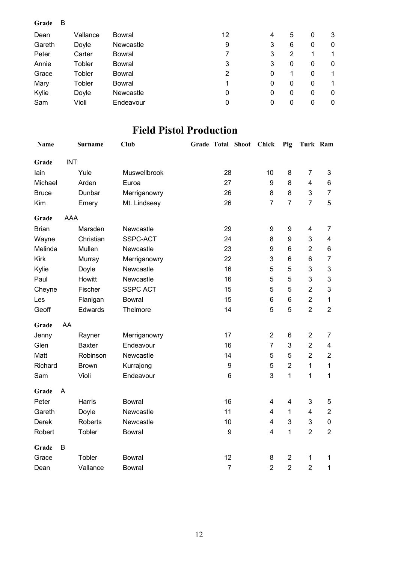#### **Grade** B Dean Vallance Bowral 12 4 5 0 3 Gareth Doyle Newcastle 19 3 6 0 0 Peter Carter Bowral 7 3 2 1 1 Annie Tobler Bowral 3 3 0 0 0 Grace Tobler Bowral 2 0 1 0 1 Mary Tobler Bowral 1 0 0 0 1 Kylie Doyle Newcastle 0 0 0 0 0 Sam Violi Endeavour 0 0 0 0 0 0

#### **Field Pistol Production**

| <b>Name</b>  |            | <b>Surname</b> | <b>Club</b>     |    |                  | Grade Total Shoot | Chick          | Pig                     | Turk Ram                |                         |
|--------------|------------|----------------|-----------------|----|------------------|-------------------|----------------|-------------------------|-------------------------|-------------------------|
| Grade        | <b>INT</b> |                |                 |    |                  |                   |                |                         |                         |                         |
| lain         |            | Yule           | Muswellbrook    | 28 |                  | 10                | 8              | $\overline{7}$          | 3                       |                         |
| Michael      |            | Arden          | Euroa           | 27 |                  | 9                 | 8              | $\overline{\mathbf{4}}$ | 6                       |                         |
| <b>Bruce</b> |            | Dunbar         | Merriganowry    | 26 |                  |                   | 8              | 8                       | 3                       | $\overline{7}$          |
| Kim          |            | Emery          | Mt. Lindseay    | 26 |                  |                   | $\overline{7}$ | $\overline{7}$          | $\overline{7}$          | 5                       |
| Grade        | <b>AAA</b> |                |                 |    |                  |                   |                |                         |                         |                         |
| <b>Brian</b> |            | Marsden        | Newcastle       |    | 29               |                   | 9              | 9                       | 4                       | 7                       |
| Wayne        |            | Christian      | SSPC-ACT        |    | 24               |                   | 8              | 9                       | 3                       | $\overline{\mathbf{4}}$ |
| Melinda      |            | Mullen         | Newcastle       |    | 23               |                   | 9              | 6                       | $\overline{2}$          | 6                       |
| <b>Kirk</b>  |            | Murray         | Merriganowry    |    | 22               |                   | 3              | 6                       | 6                       | $\overline{7}$          |
| Kylie        |            | Doyle          | Newcastle       |    | 16               |                   | 5              | 5                       | 3                       | 3                       |
| Paul         |            | Howitt         | Newcastle       |    | 16               |                   | 5              | 5                       | 3                       | 3                       |
| Cheyne       |            | Fischer        | <b>SSPC ACT</b> |    | 15               |                   | 5              | 5                       | $\overline{2}$          | 3                       |
| Les          |            | Flanigan       | <b>Bowral</b>   |    | 15               |                   | 6              | 6                       | $\overline{2}$          | $\mathbf{1}$            |
| Geoff        |            | Edwards        | Thelmore        |    | 14               |                   | 5              | 5                       | $\overline{2}$          | $\overline{2}$          |
| Grade        | AA         |                |                 |    |                  |                   |                |                         |                         |                         |
| Jenny        |            | Rayner         | Merriganowry    |    | 17               |                   | $\overline{2}$ | 6                       | $\overline{2}$          | 7                       |
| Glen         |            | <b>Baxter</b>  | Endeavour       |    | 16               |                   | $\overline{7}$ | 3                       | $\overline{2}$          | $\overline{\mathbf{4}}$ |
| Matt         |            | Robinson       | Newcastle       |    | 14               |                   | 5              | 5                       | $\overline{2}$          | $\overline{2}$          |
| Richard      |            | <b>Brown</b>   | Kurrajong       |    | $\boldsymbol{9}$ |                   | 5              | $\overline{2}$          | 1                       | 1                       |
| Sam          |            | Violi          | Endeavour       |    | $6\phantom{1}6$  |                   | 3              | 1                       | 1                       | 1                       |
| Grade        | A          |                |                 |    |                  |                   |                |                         |                         |                         |
| Peter        |            | Harris         | <b>Bowral</b>   |    | 16               |                   | 4              | $\overline{4}$          | 3                       | 5                       |
| Gareth       |            | Doyle          | Newcastle       |    | 11               |                   | 4              | 1                       | $\overline{\mathbf{4}}$ | $\overline{2}$          |
| Derek        |            | <b>Roberts</b> | Newcastle       |    | 10               |                   | 4              | 3                       | 3                       | $\pmb{0}$               |
| Robert       |            | Tobler         | <b>Bowral</b>   |    | 9                |                   | 4              | 1                       | $\overline{2}$          | $\overline{2}$          |
| Grade        | B          |                |                 |    |                  |                   |                |                         |                         |                         |
| Grace        |            | Tobler         | <b>Bowral</b>   |    | 12               |                   | 8              | $\boldsymbol{2}$        | 1                       | 1                       |
| Dean         |            | Vallance       | <b>Bowral</b>   |    | $\overline{7}$   |                   | $\overline{2}$ | $\overline{2}$          | $\overline{2}$          | $\mathbf{1}$            |